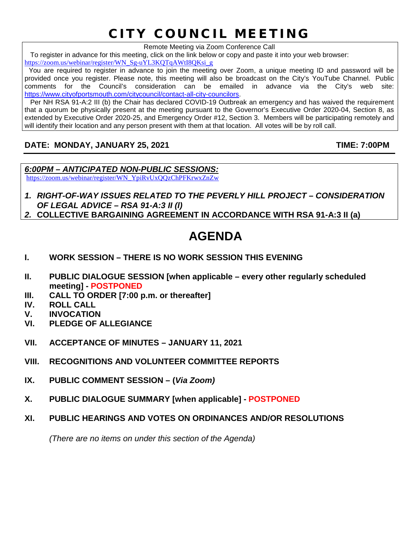# CITY COUNCIL MEETING

Remote Meeting via Zoom Conference Call

To register in advance for this meeting, click on the link below or copy and paste it into your web browser:

[https://zoom.us/webinar/register/WN\\_Sg-uYL3KQTqAWtI8QKsi\\_g](https://zoom.us/webinar/register/WN_Sg-uYL3KQTqAWtI8QKsi_g)

 You are required to register in advance to join the meeting over Zoom, a unique meeting ID and password will be provided once you register. Please note, this meeting will also be broadcast on the City's YouTube Channel. Public comments for the Council's consideration can be emailed in advance via the City's web site: [https://www.cityofportsmouth.com/citycouncil/contact-all-city-councilors.](https://www.cityofportsmouth.com/citycouncil/contact-all-city-councilors)

 Per NH RSA 91-A:2 III (b) the Chair has declared COVID-19 Outbreak an emergency and has waived the requirement that a quorum be physically present at the meeting pursuant to the Governor's Executive Order 2020-04, Section 8, as extended by Executive Order 2020-25, and Emergency Order #12, Section 3. Members will be participating remotely and will identify their location and any person present with them at that location. All votes will be by roll call.

# **DATE: MONDAY, JANUARY 25, 2021 TIME: 7:00PM**

*6:00PM – ANTICIPATED NON-PUBLIC SESSIONS:* [https://zoom.us/webinar/register/WN\\_YpiRvUxQQzChPFKrwxZnZw](https://zoom.us/webinar/register/WN_YpiRvUxQQzChPFKrwxZnZw)

- *1. RIGHT-OF-WAY ISSUES RELATED TO THE PEVERLY HILL PROJECT – CONSIDERATION OF LEGAL ADVICE – RSA 91-A:3 II (l)*
- *2.* **COLLECTIVE BARGAINING AGREEMENT IN ACCORDANCE WITH RSA 91-A:3 II (a)**

# **AGENDA**

- **I. WORK SESSION – THERE IS NO WORK SESSION THIS EVENING**
- **II. PUBLIC DIALOGUE SESSION [when applicable – every other regularly scheduled meeting] - POSTPONED**
- **III. CALL TO ORDER [7:00 p.m. or thereafter]**
- **IV. ROLL CALL**
- **V. INVOCATION**
- **VI. PLEDGE OF ALLEGIANCE**
- **VII. ACCEPTANCE OF MINUTES – JANUARY 11, 2021**
- **VIII. RECOGNITIONS AND VOLUNTEER COMMITTEE REPORTS**
- **IX. PUBLIC COMMENT SESSION – (***Via Zoom)*
- **X. PUBLIC DIALOGUE SUMMARY [when applicable] - POSTPONED**
- **XI. PUBLIC HEARINGS AND VOTES ON ORDINANCES AND/OR RESOLUTIONS**

*(There are no items on under this section of the Agenda)*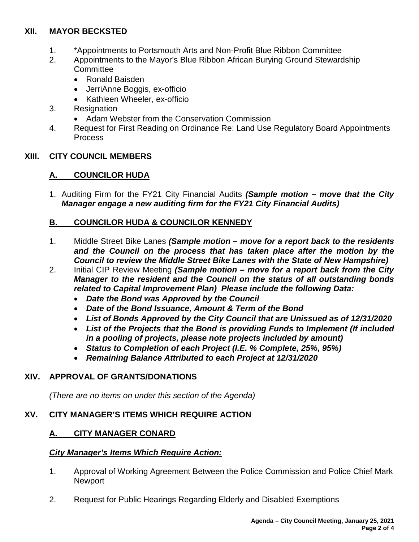#### **XII. MAYOR BECKSTED**

- 1. \*Appointments to Portsmouth Arts and Non-Profit Blue Ribbon Committee
- 2. Appointments to the Mayor's Blue Ribbon African Burying Ground Stewardship **Committee** 
	- Ronald Baisden
	- JerriAnne Boggis, ex-officio
	- Kathleen Wheeler, ex-officio
- 3. Resignation
	- Adam Webster from the Conservation Commission
- 4. Request for First Reading on Ordinance Re: Land Use Regulatory Board Appointments Process

#### **XIII. CITY COUNCIL MEMBERS**

#### **A. COUNCILOR HUDA**

1. Auditing Firm for the FY21 City Financial Audits *(Sample motion – move that the City Manager engage a new auditing firm for the FY21 City Financial Audits)*

#### **B. COUNCILOR HUDA & COUNCILOR KENNEDY**

- 1. Middle Street Bike Lanes *(Sample motion – move for a report back to the residents and the Council on the process that has taken place after the motion by the Council to review the Middle Street Bike Lanes with the State of New Hampshire)*
- 2. Initial CIP Review Meeting *(Sample motion – move for a report back from the City Manager to the resident and the Council on the status of all outstanding bonds related to Capital Improvement Plan) Please include the following Data:*
	- *Date the Bond was Approved by the Council*
	- *Date of the Bond Issuance, Amount & Term of the Bond*
	- *List of Bonds Approved by the City Council that are Unissued as of 12/31/2020*
	- *List of the Projects that the Bond is providing Funds to Implement (If included in a pooling of projects, please note projects included by amount)*
	- *Status to Completion of each Project (I.E. % Complete, 25%, 95%)*
	- *Remaining Balance Attributed to each Project at 12/31/2020*

#### **XIV. APPROVAL OF GRANTS/DONATIONS**

*(There are no items on under this section of the Agenda)*

#### **XV. CITY MANAGER'S ITEMS WHICH REQUIRE ACTION**

#### **A. CITY MANAGER CONARD**

#### *City Manager's Items Which Require Action:*

- 1. Approval of Working Agreement Between the Police Commission and Police Chief Mark **Newport**
- 2. Request for Public Hearings Regarding Elderly and Disabled Exemptions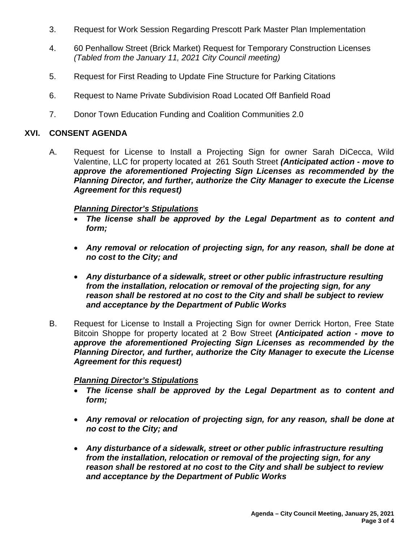- 3. Request for Work Session Regarding Prescott Park Master Plan Implementation
- 4. 60 Penhallow Street (Brick Market) Request for Temporary Construction Licenses *(Tabled from the January 11, 2021 City Council meeting)*
- 5. Request for First Reading to Update Fine Structure for Parking Citations
- 6. Request to Name Private Subdivision Road Located Off Banfield Road
- 7. Donor Town Education Funding and Coalition Communities 2.0

#### **XVI. CONSENT AGENDA**

A. Request for License to Install a Projecting Sign for owner Sarah DiCecca, Wild Valentine, LLC for property located at 261 South Street *(Anticipated action - move to approve the aforementioned Projecting Sign Licenses as recommended by the Planning Director, and further, authorize the City Manager to execute the License Agreement for this request)*

#### *Planning Director's Stipulations*

- *The license shall be approved by the Legal Department as to content and form;*
- *Any removal or relocation of projecting sign, for any reason, shall be done at no cost to the City; and*
- *Any disturbance of a sidewalk, street or other public infrastructure resulting from the installation, relocation or removal of the projecting sign, for any reason shall be restored at no cost to the City and shall be subject to review and acceptance by the Department of Public Works*
- B. Request for License to Install a Projecting Sign for owner Derrick Horton, Free State Bitcoin Shoppe for property located at 2 Bow Street *(Anticipated action - move to approve the aforementioned Projecting Sign Licenses as recommended by the Planning Director, and further, authorize the City Manager to execute the License Agreement for this request)*

#### *Planning Director's Stipulations*

- *The license shall be approved by the Legal Department as to content and form;*
- *Any removal or relocation of projecting sign, for any reason, shall be done at no cost to the City; and*
- *Any disturbance of a sidewalk, street or other public infrastructure resulting from the installation, relocation or removal of the projecting sign, for any reason shall be restored at no cost to the City and shall be subject to review and acceptance by the Department of Public Works*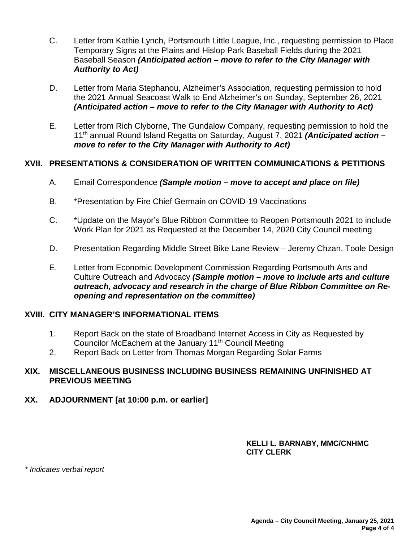- C. Letter from Kathie Lynch, Portsmouth Little League, Inc., requesting permission to Place Temporary Signs at the Plains and Hislop Park Baseball Fields during the 2021 Baseball Season *(Anticipated action – move to refer to the City Manager with Authority to Act)*
- D. Letter from Maria Stephanou, Alzheimer's Association, requesting permission to hold the 2021 Annual Seacoast Walk to End Alzheimer's on Sunday, September 26, 2021 *(Anticipated action – move to refer to the City Manager with Authority to Act)*
- E. Letter from Rich Clyborne, The Gundalow Company, requesting permission to hold the 11th annual Round Island Regatta on Saturday, August 7, 2021 *(Anticipated action – move to refer to the City Manager with Authority to Act)*

#### **XVII. PRESENTATIONS & CONSIDERATION OF WRITTEN COMMUNICATIONS & PETITIONS**

- A. Email Correspondence *(Sample motion – move to accept and place on file)*
- B. \*Presentation by Fire Chief Germain on COVID-19 Vaccinations
- C. \*Update on the Mayor's Blue Ribbon Committee to Reopen Portsmouth 2021 to include Work Plan for 2021 as Requested at the December 14, 2020 City Council meeting
- D. Presentation Regarding Middle Street Bike Lane Review Jeremy Chzan, Toole Design
- E. Letter from Economic Development Commission Regarding Portsmouth Arts and Culture Outreach and Advocacy *(Sample motion – move to include arts and culture outreach, advocacy and research in the charge of Blue Ribbon Committee on Reopening and representation on the committee)*

#### **XVIII. CITY MANAGER'S INFORMATIONAL ITEMS**

- 1. Report Back on the state of Broadband Internet Access in City as Requested by Councilor McEachern at the January 11<sup>th</sup> Council Meeting
- 2. Report Back on Letter from Thomas Morgan Regarding Solar Farms

#### **XIX. MISCELLANEOUS BUSINESS INCLUDING BUSINESS REMAINING UNFINISHED AT PREVIOUS MEETING**

# **XX. ADJOURNMENT [at 10:00 p.m. or earlier]**

#### **KELLI L. BARNABY, MMC/CNHMC CITY CLERK**

*\* Indicates verbal report*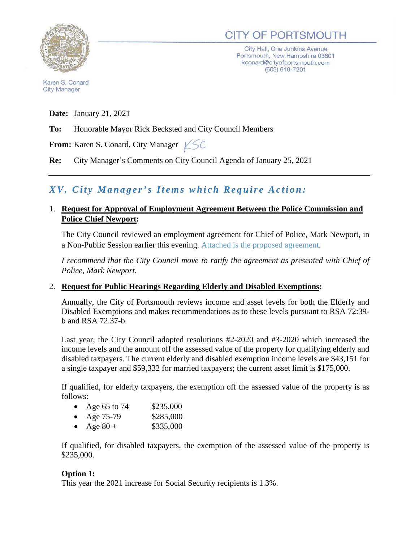

# **CITY OF PORTSMOUTH**

City Hall, One Junkins Avenue Portsmouth, New Hampshire 03801 kconard@cityofportsmouth.com (603) 610-7201

Karen S. Conard **City Manager** 

**Date:** January 21, 2021

**To:** Honorable Mayor Rick Becksted and City Council Members

**From:** Karen S. Conard, City Manager  $\angle$  SC

**Re:** City Manager's Comments on City Council Agenda of January 25, 2021

# *X V. City Manager's Items which Require Action:*

#### 1. **Request for Approval of Employment Agreement Between the Police Commission and Police Chief Newport:**

The City Council reviewed an employment agreement for Chief of Police, Mark Newport, in a Non-Public Session earlier this evening. Attached is the proposed agreement.

*I recommend that the City Council move to ratify the agreement as presented with Chief of Police, Mark Newport.*

#### 2. **Request for Public Hearings Regarding Elderly and Disabled Exemptions:**

Annually, the City of Portsmouth reviews income and asset levels for both the Elderly and Disabled Exemptions and makes recommendations as to these levels pursuant to RSA 72:39 b and RSA 72.37-b.

Last year, the City Council adopted resolutions #2-2020 and #3-2020 which increased the income levels and the amount off the assessed value of the property for qualifying elderly and disabled taxpayers. The current elderly and disabled exemption income levels are \$43,151 for a single taxpayer and \$59,332 for married taxpayers; the current asset limit is \$175,000.

If qualified, for elderly taxpayers, the exemption off the assessed value of the property is as follows:

|  | Age 65 to 74 | \$235,000 |
|--|--------------|-----------|
|--|--------------|-----------|

- Age 75-79 \$285,000
- Age  $80 +$  \$335,000

If qualified, for disabled taxpayers, the exemption of the assessed value of the property is \$235,000.

#### **Option 1:**

This year the 2021 increase for Social Security recipients is 1.3%.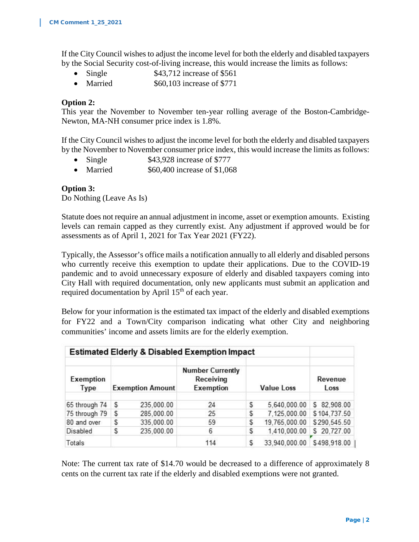If the City Council wishes to adjust the income level for both the elderly and disabled taxpayers by the Social Security cost-of-living increase, this would increase the limits as follows:

- Single  $$43,712$  increase of \$561
- Married  $$60,103$  increase of \$771

#### **Option 2:**

This year the November to November ten-year rolling average of the Boston-Cambridge-Newton, MA-NH consumer price index is 1.8%.

If the City Council wishes to adjust the income level for both the elderly and disabled taxpayers by the November to November consumer price index, this would increase the limits as follows:

- Single \$43,928 increase of \$777
- Married  $$60,400$  increase of \$1,068

#### **Option 3:**

Do Nothing (Leave As Is)

Statute does not require an annual adjustment in income, asset or exemption amounts. Existing levels can remain capped as they currently exist. Any adjustment if approved would be for assessments as of April 1, 2021 for Tax Year 2021 (FY22).

Typically, the Assessor's office mails a notification annually to all elderly and disabled persons who currently receive this exemption to update their applications. Due to the COVID-19 pandemic and to avoid unnecessary exposure of elderly and disabled taxpayers coming into City Hall with required documentation, only new applicants must submit an application and required documentation by April  $15<sup>th</sup>$  of each year.

Below for your information is the estimated tax impact of the elderly and disabled exemptions for FY22 and a Town/City comparison indicating what other City and neighboring communities' income and assets limits are for the elderly exemption.

|                   |                         |            | <b>Estimated Elderly &amp; Disabled Exemption Impact</b> |    |                   |                 |  |
|-------------------|-------------------------|------------|----------------------------------------------------------|----|-------------------|-----------------|--|
| Exemption<br>Type | <b>Exemption Amount</b> |            | <b>Number Currently</b><br>Receiving<br>Exemption        |    | <b>Value Loss</b> | Revenue<br>Loss |  |
| 65 through 74     | s                       | 235,000.00 | 24                                                       | \$ | 5,640,000.00      | \$ 82,908.00    |  |
| 75 through 79     | S                       | 285,000.00 | 25                                                       | \$ | 7,125,000.00      | \$104,737.50    |  |
| 80 and over       | S                       | 335,000.00 | 59                                                       | S  | 19,765,000.00     | \$290,545.50    |  |
| Disabled          | \$                      | 235,000.00 | 6                                                        | \$ | 1,410,000.00      | \$20,727.00     |  |
| Totals            |                         |            | 114                                                      | S  | 33.940.000.00     | \$498,918.00    |  |

Note: The current tax rate of \$14.70 would be decreased to a difference of approximately 8 cents on the current tax rate if the elderly and disabled exemptions were not granted.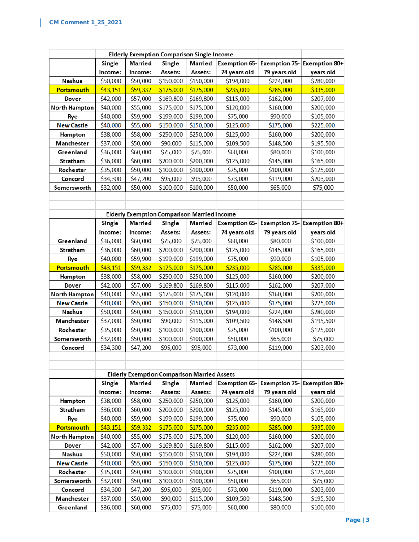|                        | Elderly Exemption Comparison Single Income |                      |                                                    |                        |                           |                           |                        |
|------------------------|--------------------------------------------|----------------------|----------------------------------------------------|------------------------|---------------------------|---------------------------|------------------------|
|                        | Single                                     | Married              | Single                                             | Married                | <b>Exemption 65-</b>      | <b>Exemption 75-</b>      | Exemption 80+          |
|                        | Income:                                    | Income:              | Assets:                                            | Assets:                | 74 years old              | 79 years old              | years old              |
| Nashua                 | \$50,000                                   | \$50,000             | \$150,000                                          | \$150,000              | \$194,000                 | \$224,000                 | \$280,000              |
| Portsmouth             | \$43,151                                   | \$59,332             | \$175,000                                          | \$175,000              | \$235,000                 | \$285,000                 | \$335,000              |
| Dover                  | \$42,000                                   | \$57,000             | \$169,800                                          | \$169,800              | \$115,000                 | \$162,000                 | \$207,000              |
| North Hampton          | \$40,000                                   | \$55,000             | \$175,000                                          | \$175,000              | \$120,000                 | \$160,000                 | \$200,000              |
| Rye                    | \$40,000                                   | \$59,900             | \$199,000                                          | \$199,000              | \$75,000                  | \$90,000                  | \$105,000              |
| <b>New Castle</b>      | \$40,000                                   | \$55,000             | \$150,000                                          | \$150,000              | \$125,000                 | \$175,000                 | \$225,000              |
| Hampton                | \$38,000                                   | \$58,000             | \$250,000                                          | \$250,000              | \$125,000                 | \$160,000                 | \$200,000              |
| Manchester             | \$37,000                                   | \$50,000             | \$90,000                                           | \$115,000              | \$109,500                 | \$148,500                 | \$195,500              |
| Greenland              | \$36,000                                   | \$60,000             | \$75,000                                           | \$75,000               | \$60,000                  | \$80,000                  | \$100,000              |
| Stratham               | \$36,000                                   | \$60,000             | \$200,000                                          | \$200,000              | \$125,000                 | \$145,000                 | \$165,000              |
| Rochester              | \$35,000                                   | \$50,000             | \$100,000                                          | \$100,000              | \$75,000                  | \$100,000                 | \$125,000              |
| Concord                | \$34,300                                   | \$47,200             | \$95,000                                           | \$95,000               | \$73,000                  | \$119,000                 | \$203,000              |
| Somersworth            | \$32,000                                   | \$50,000             | \$100,000                                          | \$100,000              | \$50,000                  | \$65,000                  | \$75,000               |
|                        |                                            |                      |                                                    |                        |                           |                           |                        |
|                        |                                            |                      |                                                    |                        |                           |                           |                        |
|                        |                                            |                      | <b>Elderly Exemption Comparison Married Income</b> |                        |                           |                           |                        |
|                        | Single                                     | Married              | Single                                             | Married                | <b>Exemption 65-</b>      | <b>Exemption 75-</b>      | Exemption 80+          |
|                        | Income:                                    | Income:              | Assets:                                            | Assets:                | 74 years old              | 79 years old              | years old              |
| Greenland              | \$36,000                                   | \$60,000             | \$75,000                                           | \$75,000               | \$60,000                  | \$80,000                  | \$100,000              |
| Stratham               | \$36,000                                   | \$60,000             | \$200,000                                          | \$200,000              | \$125,000                 | \$145,000                 | \$165,000              |
| Rye                    | \$40,000                                   | \$59,900             | \$199,000                                          | \$199,000              | \$75,000                  | \$90,000                  | \$105,000              |
| Portsmouth             | \$43,151                                   | \$59,332             | \$175,000                                          | \$175,000              | \$235,000                 | \$285,000                 | \$335,000              |
| Hampton                | \$38,000                                   | \$58,000             | \$250,000                                          | \$250,000              | \$125,000                 | \$160,000                 | \$200,000              |
| Dover                  | \$42,000                                   | \$57,000             | \$169,800                                          | \$169,800              | \$115,000                 | \$162,000                 | \$207,000              |
| North Hampton          | \$40,000                                   | \$55,000             | \$175,000                                          | \$175,000              | \$120,000                 | \$160,000                 | \$200,000              |
| <b>New Castle</b>      | \$40,000                                   | \$55,000             | \$150,000                                          | \$150,000              | \$125,000                 | \$175,000                 | \$225,000              |
| Nashua                 | \$50,000                                   | \$50,000             | \$150,000                                          | \$150,000              | \$194,000                 | \$224,000                 | \$280,000              |
| Manchester             | \$37,000                                   | \$50,000             | \$90,000                                           | \$115,000              | \$109,500                 | \$148,500                 | \$195,500              |
| Rochester              | \$35,000                                   | \$50,000             | \$100,000                                          | \$100,000              | \$75,000                  | \$100,000                 | \$125,000              |
| Somersworth            | \$32,000                                   | \$50,000             | \$100,000                                          | \$100,000              | \$50,000                  | \$65,000                  | \$75,000               |
| Concord                | \$34,300                                   | \$47,200             | \$95,000                                           | \$95,000               | \$73,000                  | \$119,000                 | \$203,000              |
|                        |                                            |                      |                                                    |                        |                           |                           |                        |
|                        |                                            |                      |                                                    |                        |                           |                           |                        |
|                        |                                            |                      | <b>Elderly Exemption Comparison Married Assets</b> |                        |                           |                           |                        |
|                        | Single                                     | Married              | Single                                             | Married                | <b>Exemption 65-</b>      | <b>Exemption 75-</b>      | Exemption 80+          |
|                        | Income:                                    | Income:<br>\$58,000  | Assets:                                            | Assets:                | 74 years old<br>\$125,000 | 79 years old<br>\$160,000 | years old              |
| Hampton<br>Stratham    | \$38,000                                   | \$60,000             | \$250,000<br>\$200,000                             | \$250,000<br>\$200,000 | \$125,000                 | \$145,000                 | \$200,000              |
| Rye                    | \$36,000<br>\$40,000                       | \$59,900             | \$199,000                                          | \$199,000              | \$75,000                  | \$90,000                  | \$165,000<br>\$105,000 |
| Portsmouth             | \$43,151                                   | \$59,332             | \$175,000                                          | \$175,000              | \$235,000                 | \$285,000                 | \$335,000              |
|                        |                                            |                      |                                                    |                        |                           |                           |                        |
| North Hampton<br>Dover | \$40,000<br>\$42,000                       | \$55,000<br>\$57,000 | \$175,000<br>\$169,800                             | \$175,000<br>\$169,800 | \$120,000<br>\$115,000    | \$160,000<br>\$162,000    | \$200,000<br>\$207,000 |
| Nashua                 | \$50,000                                   | \$50,000             | \$150,000                                          | \$150,000              | \$194,000                 | \$224,000                 | \$280,000              |
| <b>New Castle</b>      | \$40,000                                   | \$55,000             | \$150,000                                          | \$150,000              | \$125,000                 | \$175,000                 | \$225,000              |
| Rochester              | \$35,000                                   | \$50,000             | \$100,000                                          | \$100,000              | \$75,000                  | \$100,000                 | \$125,000              |
| Somersworth            | \$32,000                                   | \$50,000             | \$100,000                                          | \$100,000              | \$50,000                  | \$65,000                  | \$75,000               |
| Concord                | \$34,300                                   | \$47,200             | \$95,000                                           | \$95,000               | \$73,000                  | \$119,000                 | \$203,000              |
| Manchester             | \$37,000                                   | \$50,000             | \$90,000                                           | \$115,000              | \$109,500                 | \$148,500                 | \$195,500              |
| Greenland              | \$36,000                                   | \$60,000             | \$75,000                                           | \$75,000               | \$60,000                  | \$80,000                  | \$100,000              |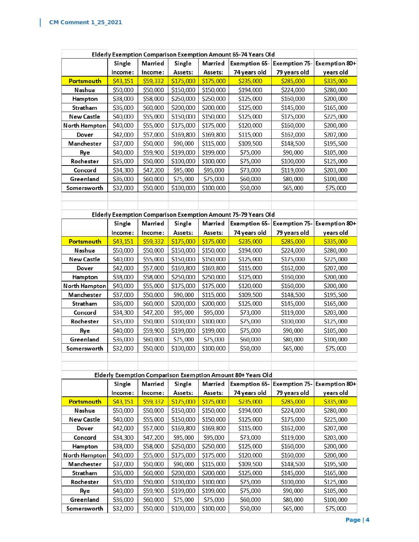L

| Elderly Exemption Comparison Exemption Amount 65-74 Years Old |          |          |           |           |                                                               |                      |               |
|---------------------------------------------------------------|----------|----------|-----------|-----------|---------------------------------------------------------------|----------------------|---------------|
|                                                               | Single   | Married  | Single    | Married   | <b>Exemption 65-</b>                                          | <b>Exemption 75-</b> | Exemption 80+ |
|                                                               | Income:  | Income:  | Assets:   | Assets:   | 74 years old                                                  | 79 years old         | years old     |
| <b>Portsmouth</b>                                             | \$43,151 | \$59,332 | \$175,000 | \$175,000 | \$235,000                                                     | \$285,000            | \$335,000     |
| Nashua                                                        | \$50,000 | \$50,000 | \$150,000 | \$150,000 | \$194,000                                                     | \$224,000            | \$280,000     |
| Hampton                                                       | \$38,000 | \$58,000 | \$250,000 | \$250,000 | \$125,000                                                     | \$160,000            | \$200,000     |
| Stratham                                                      | \$36,000 | \$60,000 | \$200,000 | \$200,000 | \$125,000                                                     | \$145,000            | \$165,000     |
| <b>New Castle</b>                                             | \$40,000 | \$55,000 | \$150,000 | \$150,000 | \$125,000                                                     | \$175,000            | \$225,000     |
| North Hampton                                                 | \$40,000 | \$55,000 | \$175,000 | \$175,000 | \$120,000                                                     | \$160,000            | \$200,000     |
| Dover                                                         | \$42,000 | \$57,000 | \$169,800 | \$169,800 | \$115,000                                                     | \$162,000            | \$207,000     |
| Manchester                                                    | \$37,000 | \$50,000 | \$90,000  | \$115,000 | \$109,500                                                     | \$148,500            | \$195,500     |
| Rye                                                           | \$40,000 | \$59,900 | \$199,000 | \$199,000 | \$75,000                                                      | \$90,000             | \$105,000     |
| Rochester                                                     | \$35,000 | \$50,000 | \$100,000 | \$100,000 | \$75,000                                                      | \$100,000            | \$125,000     |
| Concord                                                       | \$34,300 | \$47,200 | \$95,000  | \$95,000  | \$73,000                                                      | \$119,000            | \$203,000     |
| Greenland                                                     | \$36,000 | \$60,000 | \$75,000  | \$75,000  | \$60,000                                                      | \$80,000             | \$100,000     |
| Somersworth                                                   | \$32,000 | \$50,000 | \$100,000 | \$100,000 | \$50,000                                                      | \$65,000             | \$75,000      |
|                                                               |          |          |           |           |                                                               |                      |               |
|                                                               |          |          |           |           |                                                               |                      |               |
|                                                               |          |          |           |           | Elderly Exemption Comparison Exemption Amount 75-79 Years Old |                      |               |
|                                                               | Single   | Married  | Single    | Married   | <b>Exemption 65-</b>                                          | <b>Exemption 75-</b> | Exemption 80+ |
|                                                               | Income:  | Income:  | Assets:   | Assets:   | 74 years old                                                  | 79 years old         | years old     |
| Portsmouth                                                    | \$43,151 | \$59,332 | \$175,000 | \$175,000 | \$235,000                                                     | \$285,000            | \$335,000     |
| Nashua                                                        | \$50,000 | \$50,000 | \$150,000 | \$150,000 | \$194,000                                                     | \$224,000            | \$280,000     |
| <b>New Castle</b>                                             | \$40,000 | \$55,000 | \$150,000 | \$150,000 | \$125,000                                                     | \$175,000            | \$225,000     |
| Dover                                                         | \$42,000 | \$57,000 | \$169,800 | \$169,800 | \$115,000                                                     | \$162,000            | \$207,000     |
| Hampton                                                       | \$38,000 | \$58,000 | \$250,000 | \$250,000 | \$125,000                                                     | \$160,000            | \$200,000     |
| <b>North Hampton</b>                                          | \$40,000 | \$55,000 | \$175,000 | \$175,000 | \$120,000                                                     | \$160,000            | \$200,000     |
| Manchester                                                    | \$37,000 | \$50,000 | \$90,000  | \$115,000 | \$109,500                                                     | \$148,500            | \$195,500     |
| Stratham                                                      | \$36,000 | \$60,000 | \$200,000 | \$200,000 | \$125,000                                                     | \$145,000            | \$165,000     |
| Concord                                                       | \$34,300 | \$47,200 | \$95,000  | \$95,000  | \$73,000                                                      | \$119,000            | \$203,000     |
| Rochester                                                     | \$35,000 | \$50,000 | \$100,000 | \$100,000 | \$75,000                                                      | \$100,000            | \$125,000     |
| Rye                                                           | \$40,000 | \$59,900 | \$199,000 | \$199,000 | \$75,000                                                      | \$90,000             | \$105,000     |
| Greenland                                                     | \$36,000 | \$60,000 | \$75,000  | \$75,000  | \$60,000                                                      | \$80,000             | \$100,000     |
| Somersworth                                                   | \$32,000 | \$50,000 | \$100,000 | \$100,000 | \$50,000                                                      | \$65,000             | \$75,000      |
|                                                               |          |          |           |           |                                                               |                      |               |
|                                                               |          |          |           |           |                                                               |                      |               |
|                                                               |          |          |           |           | Elderly Exemption Comparison Exemption Amount 80+ Years Old   |                      |               |
|                                                               | Single   | Married  | Single    | Married   | <b>Exemption 65-</b>                                          | <b>Exemption 75-</b> | Exemption 80+ |
|                                                               | Income:  | Income:  | Assets:   | Assets:   | 74 years old                                                  | 79 years old         | years old     |
| Portsmouth                                                    | \$43,151 | \$59,332 | \$175,000 | \$175,000 | \$235,000                                                     | \$285,000            | \$335,000     |
| Nashua                                                        | \$50,000 | \$50,000 | \$150,000 | \$150,000 | \$194,000                                                     | \$224,000            | \$280,000     |
| <b>New Castle</b>                                             | \$40,000 | \$55,000 | \$150,000 | \$150,000 | \$125,000                                                     | \$175,000            | \$225,000     |
| Dover                                                         | \$42,000 | \$57,000 | \$169,800 | \$169,800 | \$115,000                                                     | \$162,000            | \$207,000     |
| Concord                                                       | \$34,300 | \$47,200 | \$95,000  | \$95,000  | \$73,000                                                      | \$119,000            | \$203,000     |
| Hampton                                                       | \$38,000 | \$58,000 | \$250,000 | \$250,000 | \$125,000                                                     | \$160,000            | \$200,000     |
| North Hampton                                                 | \$40,000 | \$55,000 | \$175,000 | \$175,000 | \$120,000                                                     | \$160,000            | \$200,000     |
| Manchester                                                    | \$37,000 | \$50,000 | \$90,000  | \$115,000 | \$109,500                                                     | \$148,500            | \$195,500     |
| Stratham                                                      | \$36,000 | \$60,000 | \$200,000 | \$200,000 | \$125,000                                                     | \$145,000            | \$165,000     |
| Rochester                                                     | \$35,000 | \$50,000 | \$100,000 | \$100,000 | \$75,000                                                      | \$100,000            | \$125,000     |
| Rye<br>Greenland                                              | \$40,000 | \$59,900 | \$199,000 | \$199,000 | \$75,000                                                      | \$90,000             | \$105,000     |
|                                                               | \$36,000 | \$60,000 | \$75,000  | \$75,000  | \$60,000                                                      | \$80,000             | \$100,000     |
| Somersworth                                                   | \$32,000 | \$50,000 | \$100,000 | \$100,000 | \$50,000                                                      | \$65,000             | \$75,000      |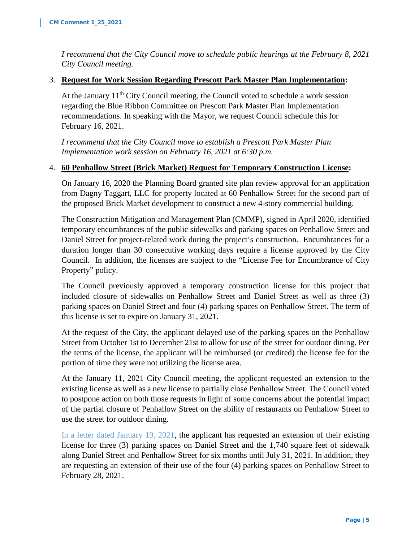*I recommend that the City Council move to schedule public hearings at the February 8, 2021 City Council meeting.* 

#### 3. **Request for Work Session Regarding Prescott Park Master Plan Implementation:**

At the January  $11<sup>th</sup>$  City Council meeting, the Council voted to schedule a work session regarding the Blue Ribbon Committee on Prescott Park Master Plan Implementation recommendations. In speaking with the Mayor, we request Council schedule this for February 16, 2021.

*I recommend that the City Council move to establish a Prescott Park Master Plan Implementation work session on February 16, 2021 at 6:30 p.m.*

#### 4. **60 Penhallow Street (Brick Market) Request for Temporary Construction License:**

On January 16, 2020 the Planning Board granted site plan review approval for an application from Dagny Taggart, LLC for property located at 60 Penhallow Street for the second part of the proposed Brick Market development to construct a new 4-story commercial building.

The Construction Mitigation and Management Plan (CMMP), signed in April 2020, identified temporary encumbrances of the public sidewalks and parking spaces on Penhallow Street and Daniel Street for project-related work during the project's construction. Encumbrances for a duration longer than 30 consecutive working days require a license approved by the City Council. In addition, the licenses are subject to the "License Fee for Encumbrance of City Property" policy.

The Council previously approved a temporary construction license for this project that included closure of sidewalks on Penhallow Street and Daniel Street as well as three (3) parking spaces on Daniel Street and four (4) parking spaces on Penhallow Street. The term of this license is set to expire on January 31, 2021.

At the request of the City, the applicant delayed use of the parking spaces on the Penhallow Street from October 1st to December 21st to allow for use of the street for outdoor dining. Per the terms of the license, the applicant will be reimbursed (or credited) the license fee for the portion of time they were not utilizing the license area.

At the January 11, 2021 City Council meeting, the applicant requested an extension to the existing license as well as a new license to partially close Penhallow Street. The Council voted to postpone action on both those requests in light of some concerns about the potential impact of the partial closure of Penhallow Street on the ability of restaurants on Penhallow Street to use the street for outdoor dining.

In a letter dated January 19, 2021, the applicant has requested an extension of their existing license for three (3) parking spaces on Daniel Street and the 1,740 square feet of sidewalk along Daniel Street and Penhallow Street for six months until July 31, 2021. In addition, they are requesting an extension of their use of the four (4) parking spaces on Penhallow Street to February 28, 2021.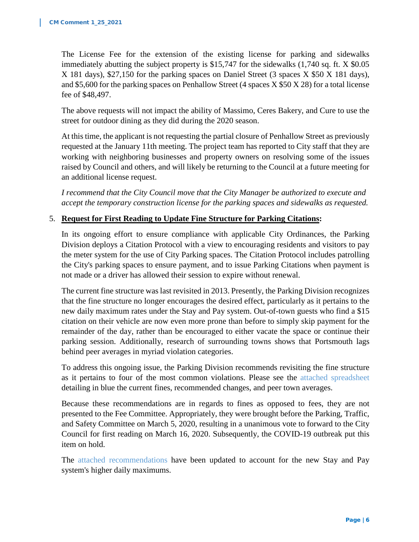The License Fee for the extension of the existing license for parking and sidewalks immediately abutting the subject property is \$15,747 for the sidewalks (1,740 sq. ft. X \$0.05 X 181 days), \$27,150 for the parking spaces on Daniel Street (3 spaces X \$50 X 181 days), and \$5,600 for the parking spaces on Penhallow Street (4 spaces X \$50 X 28) for a total license fee of \$48,497.

The above requests will not impact the ability of Massimo, Ceres Bakery, and Cure to use the street for outdoor dining as they did during the 2020 season.

At this time, the applicant is not requesting the partial closure of Penhallow Street as previously requested at the January 11th meeting. The project team has reported to City staff that they are working with neighboring businesses and property owners on resolving some of the issues raised by Council and others, and will likely be returning to the Council at a future meeting for an additional license request.

*I recommend that the City Council move that the City Manager be authorized to execute and accept the temporary construction license for the parking spaces and sidewalks as requested.*

#### 5. **Request for First Reading to Update Fine Structure for Parking Citations:**

In its ongoing effort to ensure compliance with applicable City Ordinances, the Parking Division deploys a Citation Protocol with a view to encouraging residents and visitors to pay the meter system for the use of City Parking spaces. The Citation Protocol includes patrolling the City's parking spaces to ensure payment, and to issue Parking Citations when payment is not made or a driver has allowed their session to expire without renewal.

The current fine structure was last revisited in 2013. Presently, the Parking Division recognizes that the fine structure no longer encourages the desired effect, particularly as it pertains to the new daily maximum rates under the Stay and Pay system. Out-of-town guests who find a \$15 citation on their vehicle are now even more prone than before to simply skip payment for the remainder of the day, rather than be encouraged to either vacate the space or continue their parking session. Additionally, research of surrounding towns shows that Portsmouth lags behind peer averages in myriad violation categories.

To address this ongoing issue, the Parking Division recommends revisiting the fine structure as it pertains to four of the most common violations. Please see the attached spreadsheet detailing in blue the current fines, recommended changes, and peer town averages.

Because these recommendations are in regards to fines as opposed to fees, they are not presented to the Fee Committee. Appropriately, they were brought before the Parking, Traffic, and Safety Committee on March 5, 2020, resulting in a unanimous vote to forward to the City Council for first reading on March 16, 2020. Subsequently, the COVID-19 outbreak put this item on hold.

The attached recommendations have been updated to account for the new Stay and Pay system's higher daily maximums.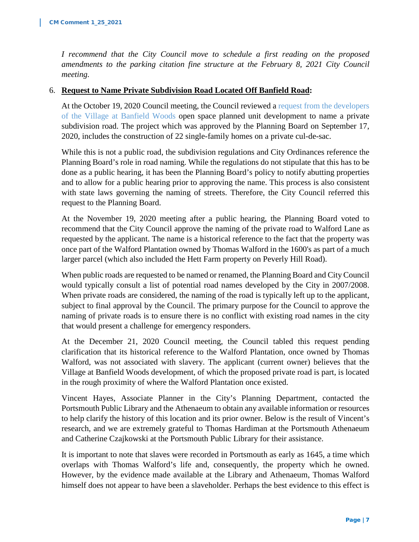*I recommend that the City Council move to schedule a first reading on the proposed amendments to the parking citation fine structure at the February 8, 2021 City Council meeting.*

#### 6. **Request to Name Private Subdivision Road Located Off Banfield Road:**

At the October 19, 2020 Council meeting, the Council reviewed a request from the developers of the Village at Banfield Woods open space planned unit development to name a private subdivision road. The project which was approved by the Planning Board on September 17, 2020, includes the construction of 22 single-family homes on a private cul-de-sac.

While this is not a public road, the subdivision regulations and City Ordinances reference the Planning Board's role in road naming. While the regulations do not stipulate that this has to be done as a public hearing, it has been the Planning Board's policy to notify abutting properties and to allow for a public hearing prior to approving the name. This process is also consistent with state laws governing the naming of streets. Therefore, the City Council referred this request to the Planning Board.

At the November 19, 2020 meeting after a public hearing, the Planning Board voted to recommend that the City Council approve the naming of the private road to Walford Lane as requested by the applicant. The name is a historical reference to the fact that the property was once part of the Walford Plantation owned by Thomas Walford in the 1600's as part of a much larger parcel (which also included the Hett Farm property on Peverly Hill Road).

When public roads are requested to be named or renamed, the Planning Board and City Council would typically consult a list of potential road names developed by the City in 2007/2008. When private roads are considered, the naming of the road is typically left up to the applicant, subject to final approval by the Council. The primary purpose for the Council to approve the naming of private roads is to ensure there is no conflict with existing road names in the city that would present a challenge for emergency responders.

At the December 21, 2020 Council meeting, the Council tabled this request pending clarification that its historical reference to the Walford Plantation, once owned by Thomas Walford, was not associated with slavery. The applicant (current owner) believes that the Village at Banfield Woods development, of which the proposed private road is part, is located in the rough proximity of where the Walford Plantation once existed.

Vincent Hayes, Associate Planner in the City's Planning Department, contacted the Portsmouth Public Library and the Athenaeum to obtain any available information or resources to help clarify the history of this location and its prior owner. Below is the result of Vincent's research, and we are extremely grateful to Thomas Hardiman at the Portsmouth Athenaeum and Catherine Czajkowski at the Portsmouth Public Library for their assistance.

It is important to note that slaves were recorded in Portsmouth as early as 1645, a time which overlaps with Thomas Walford's life and, consequently, the property which he owned. However, by the evidence made available at the Library and Athenaeum, Thomas Walford himself does not appear to have been a slaveholder. Perhaps the best evidence to this effect is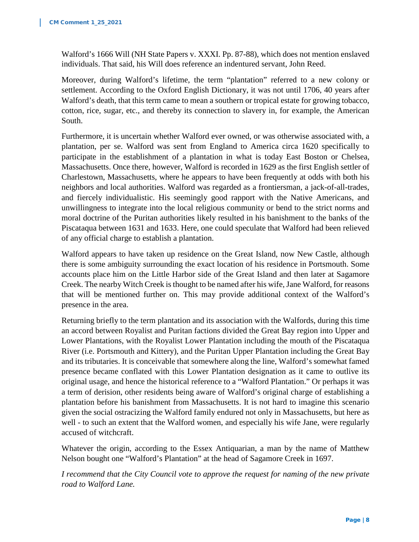Walford's 1666 Will (NH State Papers v. XXXI. Pp. 87-88), which does not mention enslaved individuals. That said, his Will does reference an indentured servant, John Reed.

Moreover, during Walford's lifetime, the term "plantation" referred to a new colony or settlement. According to the Oxford English Dictionary, it was not until 1706, 40 years after Walford's death, that this term came to mean a southern or tropical estate for growing tobacco, cotton, rice, sugar, etc., and thereby its connection to slavery in, for example, the American South.

Furthermore, it is uncertain whether Walford ever owned, or was otherwise associated with, a plantation, per se. Walford was sent from England to America circa 1620 specifically to participate in the establishment of a plantation in what is today East Boston or Chelsea, Massachusetts. Once there, however, Walford is recorded in 1629 as the first English settler of Charlestown, Massachusetts, where he appears to have been frequently at odds with both his neighbors and local authorities. Walford was regarded as a frontiersman, a jack-of-all-trades, and fiercely individualistic. His seemingly good rapport with the Native Americans, and unwillingness to integrate into the local religious community or bend to the strict norms and moral doctrine of the Puritan authorities likely resulted in his banishment to the banks of the Piscataqua between 1631 and 1633. Here, one could speculate that Walford had been relieved of any official charge to establish a plantation.

Walford appears to have taken up residence on the Great Island, now New Castle, although there is some ambiguity surrounding the exact location of his residence in Portsmouth. Some accounts place him on the Little Harbor side of the Great Island and then later at Sagamore Creek. The nearby Witch Creek is thought to be named after his wife, Jane Walford, for reasons that will be mentioned further on. This may provide additional context of the Walford's presence in the area.

Returning briefly to the term plantation and its association with the Walfords, during this time an accord between Royalist and Puritan factions divided the Great Bay region into Upper and Lower Plantations, with the Royalist Lower Plantation including the mouth of the Piscataqua River (i.e. Portsmouth and Kittery), and the Puritan Upper Plantation including the Great Bay and its tributaries. It is conceivable that somewhere along the line, Walford's somewhat famed presence became conflated with this Lower Plantation designation as it came to outlive its original usage, and hence the historical reference to a "Walford Plantation." Or perhaps it was a term of derision, other residents being aware of Walford's original charge of establishing a plantation before his banishment from Massachusetts. It is not hard to imagine this scenario given the social ostracizing the Walford family endured not only in Massachusetts, but here as well - to such an extent that the Walford women, and especially his wife Jane, were regularly accused of witchcraft.

Whatever the origin, according to the Essex Antiquarian, a man by the name of Matthew Nelson bought one "Walford's Plantation" at the head of Sagamore Creek in 1697.

*I recommend that the City Council vote to approve the request for naming of the new private road to Walford Lane.*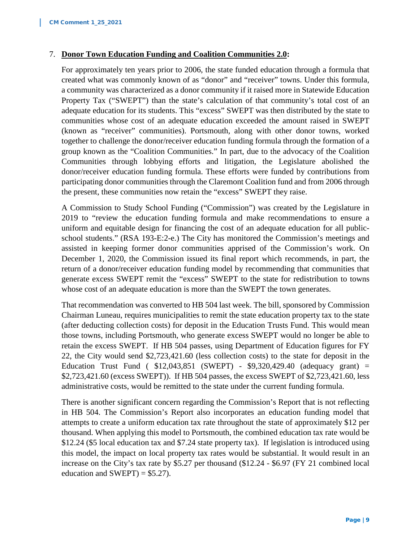#### 7. **Donor Town Education Funding and Coalition Communities 2.0:**

For approximately ten years prior to 2006, the state funded education through a formula that created what was commonly known of as "donor" and "receiver" towns. Under this formula, a community was characterized as a donor community if it raised more in Statewide Education Property Tax ("SWEPT") than the state's calculation of that community's total cost of an adequate education for its students. This "excess" SWEPT was then distributed by the state to communities whose cost of an adequate education exceeded the amount raised in SWEPT (known as "receiver" communities). Portsmouth, along with other donor towns, worked together to challenge the donor/receiver education funding formula through the formation of a group known as the "Coalition Communities." In part, due to the advocacy of the Coalition Communities through lobbying efforts and litigation, the Legislature abolished the donor/receiver education funding formula. These efforts were funded by contributions from participating donor communities through the Claremont Coalition fund and from 2006 through the present, these communities now retain the "excess" SWEPT they raise.

A Commission to Study School Funding ("Commission") was created by the Legislature in 2019 to "review the education funding formula and make recommendations to ensure a uniform and equitable design for financing the cost of an adequate education for all publicschool students." (RSA 193-E:2-e.) The City has monitored the Commission's meetings and assisted in keeping former donor communities apprised of the Commission's work. On December 1, 2020, the Commission issued its final report which recommends, in part, the return of a donor/receiver education funding model by recommending that communities that generate excess SWEPT remit the "excess" SWEPT to the state for redistribution to towns whose cost of an adequate education is more than the SWEPT the town generates.

That recommendation was converted to HB 504 last week. The bill, sponsored by Commission Chairman Luneau, requires municipalities to remit the state education property tax to the state (after deducting collection costs) for deposit in the Education Trusts Fund. This would mean those towns, including Portsmouth, who generate excess SWEPT would no longer be able to retain the excess SWEPT. If HB 504 passes, using Department of Education figures for FY 22, the City would send \$2,723,421.60 (less collection costs) to the state for deposit in the Education Trust Fund ( $$12,043,851$  (SWEPT) -  $$9,320,429.40$  (adequacy grant) = \$2,723,421.60 (excess SWEPT)). If HB 504 passes, the excess SWEPT of \$2,723,421.60, less administrative costs, would be remitted to the state under the current funding formula.

There is another significant concern regarding the Commission's Report that is not reflecting in HB 504. The Commission's Report also incorporates an education funding model that attempts to create a uniform education tax rate throughout the state of approximately \$12 per thousand. When applying this model to Portsmouth, the combined education tax rate would be \$12.24 (\$5 local education tax and \$7.24 state property tax). If legislation is introduced using this model, the impact on local property tax rates would be substantial. It would result in an increase on the City's tax rate by \$5.27 per thousand (\$12.24 - \$6.97 (FY 21 combined local education and  $SWEPT$ ) = \$5.27).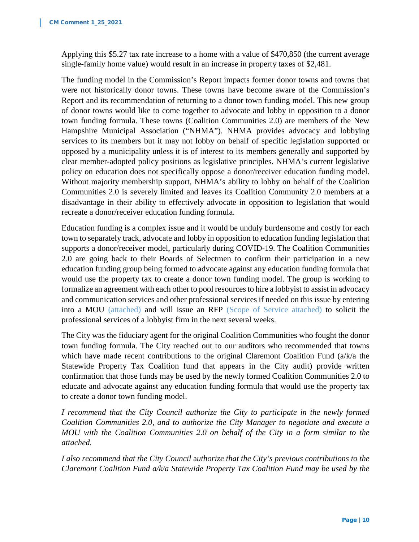Applying this \$5.27 tax rate increase to a home with a value of \$470,850 (the current average single-family home value) would result in an increase in property taxes of \$2,481.

The funding model in the Commission's Report impacts former donor towns and towns that were not historically donor towns. These towns have become aware of the Commission's Report and its recommendation of returning to a donor town funding model. This new group of donor towns would like to come together to advocate and lobby in opposition to a donor town funding formula. These towns (Coalition Communities 2.0) are members of the New Hampshire Municipal Association ("NHMA"). NHMA provides advocacy and lobbying services to its members but it may not lobby on behalf of specific legislation supported or opposed by a municipality unless it is of interest to its members generally and supported by clear member-adopted policy positions as legislative principles. NHMA's current legislative policy on education does not specifically oppose a donor/receiver education funding model. Without majority membership support, NHMA's ability to lobby on behalf of the Coalition Communities 2.0 is severely limited and leaves its Coalition Community 2.0 members at a disadvantage in their ability to effectively advocate in opposition to legislation that would recreate a donor/receiver education funding formula.

Education funding is a complex issue and it would be unduly burdensome and costly for each town to separately track, advocate and lobby in opposition to education funding legislation that supports a donor/receiver model, particularly during COVID-19. The Coalition Communities 2.0 are going back to their Boards of Selectmen to confirm their participation in a new education funding group being formed to advocate against any education funding formula that would use the property tax to create a donor town funding model. The group is working to formalize an agreement with each other to pool resources to hire a lobbyist to assist in advocacy and communication services and other professional services if needed on this issue by entering into a MOU (attached) and will issue an RFP (Scope of Service attached) to solicit the professional services of a lobbyist firm in the next several weeks.

The City was the fiduciary agent for the original Coalition Communities who fought the donor town funding formula. The City reached out to our auditors who recommended that towns which have made recent contributions to the original Claremont Coalition Fund  $(a/k/a)$  the Statewide Property Tax Coalition fund that appears in the City audit) provide written confirmation that those funds may be used by the newly formed Coalition Communities 2.0 to educate and advocate against any education funding formula that would use the property tax to create a donor town funding model.

*I recommend that the City Council authorize the City to participate in the newly formed Coalition Communities 2.0, and to authorize the City Manager to negotiate and execute a MOU with the Coalition Communities 2.0 on behalf of the City in a form similar to the attached.*

*I also recommend that the City Council* a*uthorize that the City's previous contributions to the Claremont Coalition Fund a/k/a Statewide Property Tax Coalition Fund may be used by the*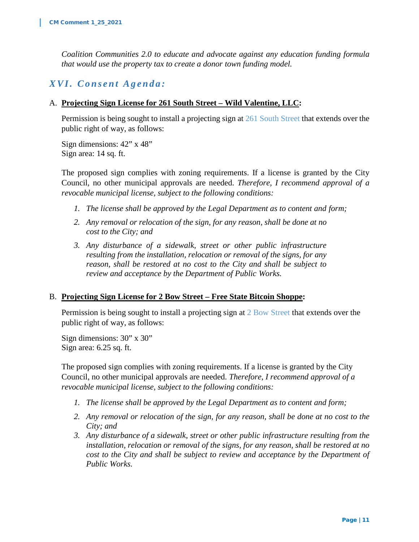*Coalition Communities 2.0 to educate and advocate against any education funding formula that would use the property tax to create a donor town funding model.*

# *XVI. Consent Agenda :*

#### A. **Projecting Sign License for 261 South Street – Wild Valentine, LLC:**

Permission is being sought to install a projecting sign at 261 South Street that extends over the public right of way, as follows:

Sign dimensions: 42" x 48" Sign area: 14 sq. ft.

The proposed sign complies with zoning requirements. If a license is granted by the City Council, no other municipal approvals are needed. *Therefore, I recommend approval of a revocable municipal license, subject to the following conditions:*

- *1. The license shall be approved by the Legal Department as to content and form;*
- *2. Any removal or relocation of the sign, for any reason, shall be done at no cost to the City; and*
- *3. Any disturbance of a sidewalk, street or other public infrastructure resulting from the installation, relocation or removal of the signs, for any reason, shall be restored at no cost to the City and shall be subject to review and acceptance by the Department of Public Works.*

#### B. **Projecting Sign License for 2 Bow Street – Free State Bitcoin Shoppe:**

Permission is being sought to install a projecting sign at 2 Bow Street that extends over the public right of way, as follows:

Sign dimensions: 30" x 30" Sign area: 6.25 sq. ft.

The proposed sign complies with zoning requirements. If a license is granted by the City Council, no other municipal approvals are needed. *Therefore, I recommend approval of a revocable municipal license, subject to the following conditions:*

- *1. The license shall be approved by the Legal Department as to content and form;*
- *2. Any removal or relocation of the sign, for any reason, shall be done at no cost to the City; and*
- *3. Any disturbance of a sidewalk, street or other public infrastructure resulting from the installation, relocation or removal of the signs, for any reason, shall be restored at no cost to the City and shall be subject to review and acceptance by the Department of Public Works.*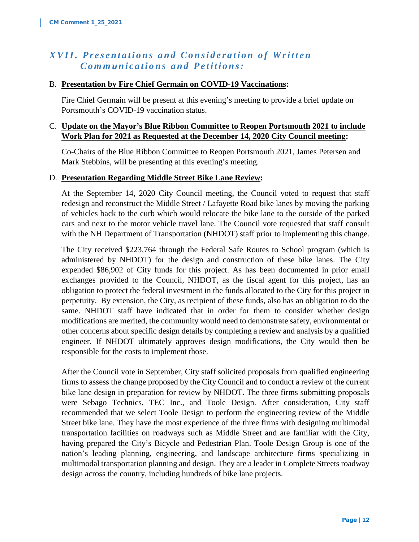# *XVII. Presentations and Consideration of Written Communications and Petitions:*

#### B. **Presentation by Fire Chief Germain on COVID-19 Vaccinations:**

Fire Chief Germain will be present at this evening's meeting to provide a brief update on Portsmouth's COVID-19 vaccination status.

#### C. **Update on the Mayor's Blue Ribbon Committee to Reopen Portsmouth 2021 to include Work Plan for 2021 as Requested at the December 14, 2020 City Council meeting:**

Co-Chairs of the Blue Ribbon Committee to Reopen Portsmouth 2021, James Petersen and Mark Stebbins, will be presenting at this evening's meeting.

#### D. **Presentation Regarding Middle Street Bike Lane Review:**

At the September 14, 2020 City Council meeting, the Council voted to request that staff redesign and reconstruct the Middle Street / Lafayette Road bike lanes by moving the parking of vehicles back to the curb which would relocate the bike lane to the outside of the parked cars and next to the motor vehicle travel lane. The Council vote requested that staff consult with the NH Department of Transportation (NHDOT) staff prior to implementing this change.

The City received \$223,764 through the Federal Safe Routes to School program (which is administered by NHDOT) for the design and construction of these bike lanes. The City expended \$86,902 of City funds for this project. As has been documented in prior email exchanges provided to the Council, NHDOT, as the fiscal agent for this project, has an obligation to protect the federal investment in the funds allocated to the City for this project in perpetuity. By extension, the City, as recipient of these funds, also has an obligation to do the same. NHDOT staff have indicated that in order for them to consider whether design modifications are merited, the community would need to demonstrate safety, environmental or other concerns about specific design details by completing a review and analysis by a qualified engineer. If NHDOT ultimately approves design modifications, the City would then be responsible for the costs to implement those.

After the Council vote in September, City staff solicited proposals from qualified engineering firms to assess the change proposed by the City Council and to conduct a review of the current bike lane design in preparation for review by NHDOT. The three firms submitting proposals were Sebago Technics, TEC Inc., and Toole Design. After consideration, City staff recommended that we select Toole Design to perform the engineering review of the Middle Street bike lane. They have the most experience of the three firms with designing multimodal transportation facilities on roadways such as Middle Street and are familiar with the City, having prepared the City's Bicycle and Pedestrian Plan. Toole Design Group is one of the nation's leading planning, engineering, and landscape architecture firms specializing in multimodal transportation planning and design. They are a leader in Complete Streets roadway design across the country, including hundreds of bike lane projects.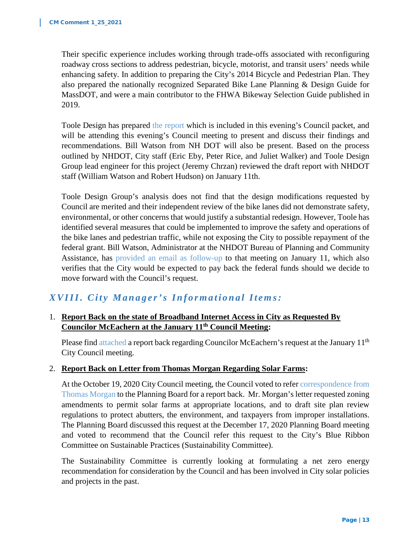Their specific experience includes working through trade-offs associated with reconfiguring roadway cross sections to address pedestrian, bicycle, motorist, and transit users' needs while enhancing safety. In addition to preparing the City's 2014 Bicycle and Pedestrian Plan. They also prepared the nationally recognized Separated Bike Lane Planning & Design Guide for MassDOT, and were a main contributor to the FHWA Bikeway Selection Guide published in 2019.

Toole Design has prepared the report which is included in this evening's Council packet, and will be attending this evening's Council meeting to present and discuss their findings and recommendations. Bill Watson from NH DOT will also be present. Based on the process outlined by NHDOT, City staff (Eric Eby, Peter Rice, and Juliet Walker) and Toole Design Group lead engineer for this project (Jeremy Chrzan) reviewed the draft report with NHDOT staff (William Watson and Robert Hudson) on January 11th.

Toole Design Group's analysis does not find that the design modifications requested by Council are merited and their independent review of the bike lanes did not demonstrate safety, environmental, or other concerns that would justify a substantial redesign. However, Toole has identified several measures that could be implemented to improve the safety and operations of the bike lanes and pedestrian traffic, while not exposing the City to possible repayment of the federal grant. Bill Watson, Administrator at the NHDOT Bureau of Planning and Community Assistance, has provided an email as follow-up to that meeting on January 11, which also verifies that the City would be expected to pay back the federal funds should we decide to move forward with the Council's request.

# *XV II I. City Manager's Informational Items:*

#### 1. **Report Back on the state of Broadband Internet Access in City as Requested By Councilor McEachern at the January 11th Council Meeting:**

Please find attached a report back regarding Councilor McEachern's request at the January 11<sup>th</sup> City Council meeting.

#### 2. **Report Back on Letter from Thomas Morgan Regarding Solar Farms:**

At the October 19, 2020 City Council meeting, the Council voted to refer correspondence from Thomas Morgan to the Planning Board for a report back. Mr. Morgan's letter requested zoning amendments to permit solar farms at appropriate locations, and to draft site plan review regulations to protect abutters, the environment, and taxpayers from improper installations. The Planning Board discussed this request at the December 17, 2020 Planning Board meeting and voted to recommend that the Council refer this request to the City's Blue Ribbon Committee on Sustainable Practices (Sustainability Committee).

The Sustainability Committee is currently looking at formulating a net zero energy recommendation for consideration by the Council and has been involved in City solar policies and projects in the past.